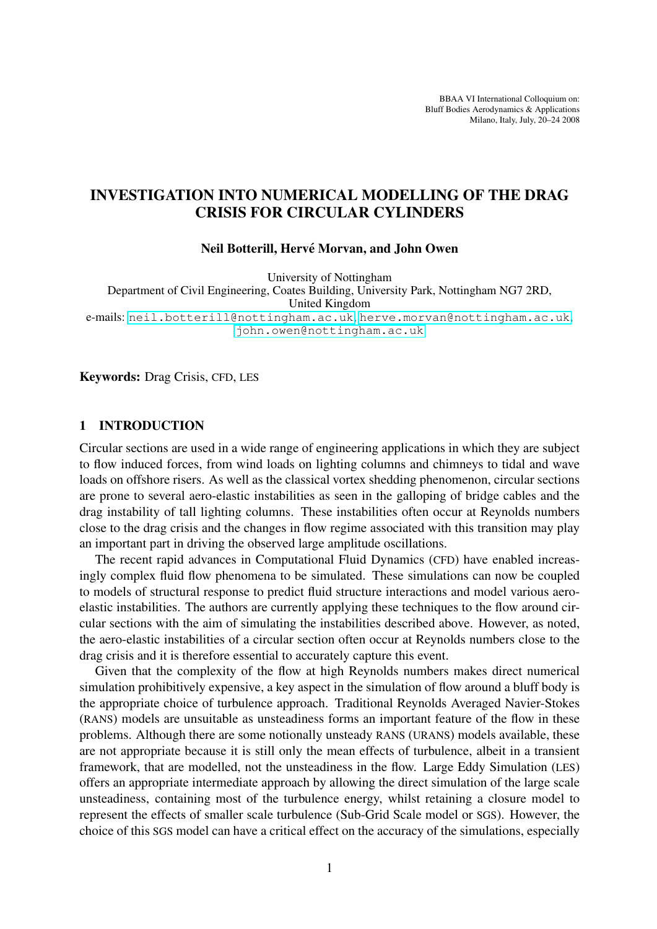BBAA VI International Colloquium on: Bluff Bodies Aerodynamics & Applications Milano, Italy, July, 20–24 2008

# INVESTIGATION INTO NUMERICAL MODELLING OF THE DRAG CRISIS FOR CIRCULAR CYLINDERS

#### Neil Botterill, Hervé Morvan, and John Owen

University of Nottingham

Department of Civil Engineering, Coates Building, University Park, Nottingham NG7 2RD, United Kingdom e-mails: <neil.botterill@nottingham.ac.uk>, <herve.morvan@nottingham.ac.uk>, <john.owen@nottingham.ac.uk>

Keywords: Drag Crisis, CFD, LES

#### 1 INTRODUCTION

Circular sections are used in a wide range of engineering applications in which they are subject to flow induced forces, from wind loads on lighting columns and chimneys to tidal and wave loads on offshore risers. As well as the classical vortex shedding phenomenon, circular sections are prone to several aero-elastic instabilities as seen in the galloping of bridge cables and the drag instability of tall lighting columns. These instabilities often occur at Reynolds numbers close to the drag crisis and the changes in flow regime associated with this transition may play an important part in driving the observed large amplitude oscillations.

The recent rapid advances in Computational Fluid Dynamics (CFD) have enabled increasingly complex fluid flow phenomena to be simulated. These simulations can now be coupled to models of structural response to predict fluid structure interactions and model various aeroelastic instabilities. The authors are currently applying these techniques to the flow around circular sections with the aim of simulating the instabilities described above. However, as noted, the aero-elastic instabilities of a circular section often occur at Reynolds numbers close to the drag crisis and it is therefore essential to accurately capture this event.

Given that the complexity of the flow at high Reynolds numbers makes direct numerical simulation prohibitively expensive, a key aspect in the simulation of flow around a bluff body is the appropriate choice of turbulence approach. Traditional Reynolds Averaged Navier-Stokes (RANS) models are unsuitable as unsteadiness forms an important feature of the flow in these problems. Although there are some notionally unsteady RANS (URANS) models available, these are not appropriate because it is still only the mean effects of turbulence, albeit in a transient framework, that are modelled, not the unsteadiness in the flow. Large Eddy Simulation (LES) offers an appropriate intermediate approach by allowing the direct simulation of the large scale unsteadiness, containing most of the turbulence energy, whilst retaining a closure model to represent the effects of smaller scale turbulence (Sub-Grid Scale model or SGS). However, the choice of this SGS model can have a critical effect on the accuracy of the simulations, especially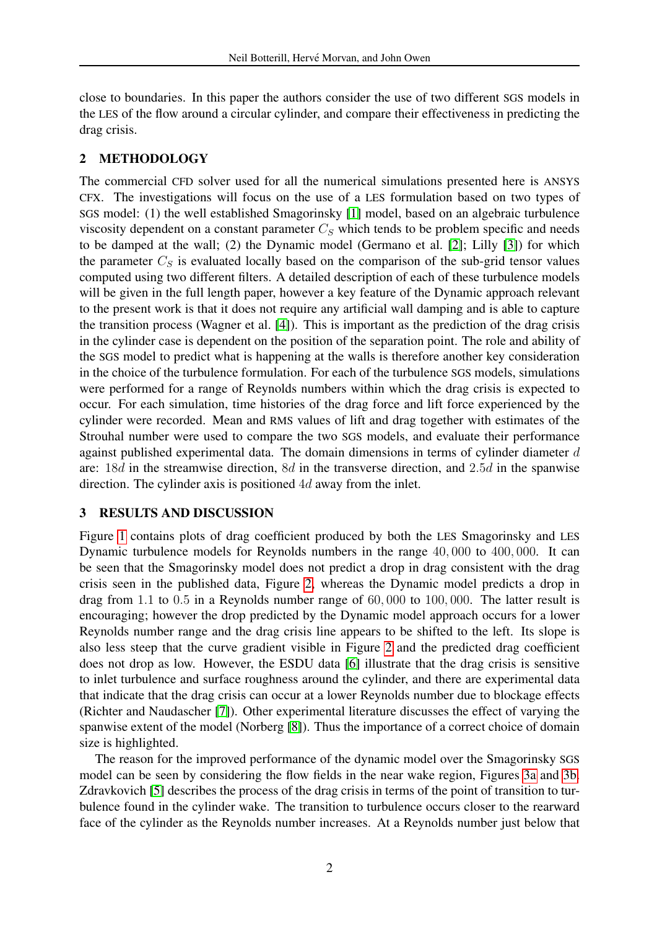close to boundaries. In this paper the authors consider the use of two different SGS models in the LES of the flow around a circular cylinder, and compare their effectiveness in predicting the drag crisis.

## 2 METHODOLOGY

The commercial CFD solver used for all the numerical simulations presented here is ANSYS CFX. The investigations will focus on the use of a LES formulation based on two types of SGS model: (1) the well established Smagorinsky [\[1\]](#page-3-0) model, based on an algebraic turbulence viscosity dependent on a constant parameter  $C_S$  which tends to be problem specific and needs to be damped at the wall; (2) the Dynamic model (Germano et al. [\[2\]](#page-3-1); Lilly [\[3\]](#page-3-2)) for which the parameter  $C_S$  is evaluated locally based on the comparison of the sub-grid tensor values computed using two different filters. A detailed description of each of these turbulence models will be given in the full length paper, however a key feature of the Dynamic approach relevant to the present work is that it does not require any artificial wall damping and is able to capture the transition process (Wagner et al. [\[4\]](#page-3-3)). This is important as the prediction of the drag crisis in the cylinder case is dependent on the position of the separation point. The role and ability of the SGS model to predict what is happening at the walls is therefore another key consideration in the choice of the turbulence formulation. For each of the turbulence SGS models, simulations were performed for a range of Reynolds numbers within which the drag crisis is expected to occur. For each simulation, time histories of the drag force and lift force experienced by the cylinder were recorded. Mean and RMS values of lift and drag together with estimates of the Strouhal number were used to compare the two SGS models, and evaluate their performance against published experimental data. The domain dimensions in terms of cylinder diameter d are: 18d in the streamwise direction, 8d in the transverse direction, and 2.5d in the spanwise direction. The cylinder axis is positioned 4d away from the inlet.

### 3 RESULTS AND DISCUSSION

Figure [1](#page-2-0) contains plots of drag coefficient produced by both the LES Smagorinsky and LES Dynamic turbulence models for Reynolds numbers in the range 40, 000 to 400, 000. It can be seen that the Smagorinsky model does not predict a drop in drag consistent with the drag crisis seen in the published data, Figure [2,](#page-2-1) whereas the Dynamic model predicts a drop in drag from 1.1 to 0.5 in a Reynolds number range of 60, 000 to 100, 000. The latter result is encouraging; however the drop predicted by the Dynamic model approach occurs for a lower Reynolds number range and the drag crisis line appears to be shifted to the left. Its slope is also less steep that the curve gradient visible in Figure [2](#page-2-1) and the predicted drag coefficient does not drop as low. However, the ESDU data [\[6\]](#page-3-4) illustrate that the drag crisis is sensitive to inlet turbulence and surface roughness around the cylinder, and there are experimental data that indicate that the drag crisis can occur at a lower Reynolds number due to blockage effects (Richter and Naudascher [\[7\]](#page-3-5)). Other experimental literature discusses the effect of varying the spanwise extent of the model (Norberg [\[8\]](#page-3-6)). Thus the importance of a correct choice of domain size is highlighted.

The reason for the improved performance of the dynamic model over the Smagorinsky SGS model can be seen by considering the flow fields in the near wake region, Figures [3a](#page-3-7) and [3b.](#page-3-8) Zdravkovich [\[5\]](#page-3-9) describes the process of the drag crisis in terms of the point of transition to turbulence found in the cylinder wake. The transition to turbulence occurs closer to the rearward face of the cylinder as the Reynolds number increases. At a Reynolds number just below that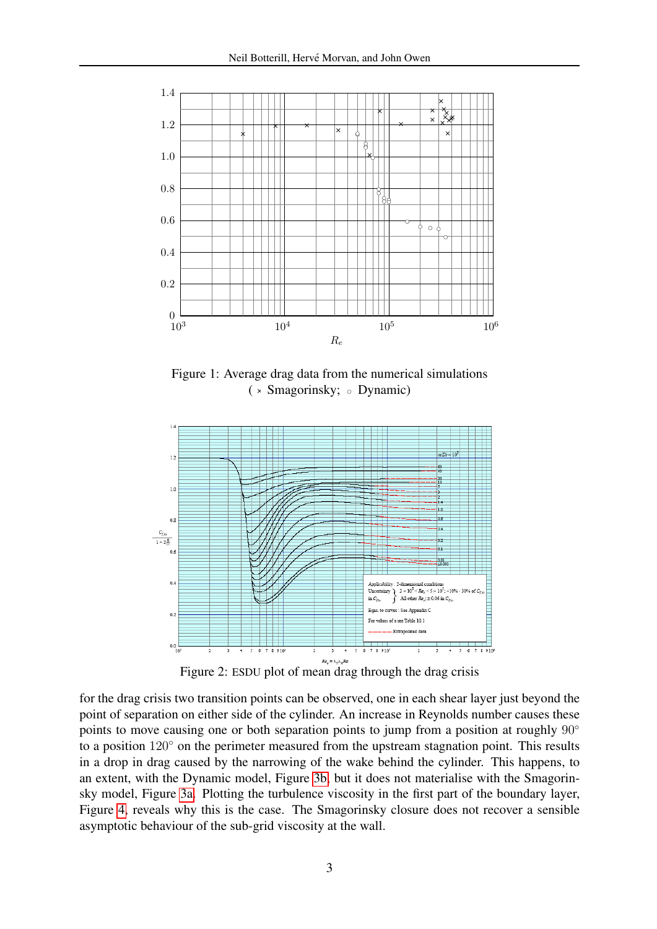<span id="page-2-0"></span>

Figure 1: Average drag data from the numerical simulations ( × Smagorinsky; o Dynamic)

<span id="page-2-1"></span>

Figure 2: ESDU plot of mean drag through the drag crisis

for the drag crisis two transition points can be observed, one in each shear layer just beyond the point of separation on either side of the cylinder. An increase in Reynolds number causes these points to move causing one or both separation points to jump from a position at roughly 90° to a position 120<sup>°</sup> on the perimeter measured from the upstream stagnation point. This results in a drop in drag caused by the narrowing of the wake behind the cylinder. This happens, to an extent, with the Dynamic model, Figure [3b,](#page-3-8) but it does not materialise with the Smagorinsky model, Figure [3a.](#page-3-7) Plotting the turbulence viscosity in the first part of the boundary layer, Figure [4,](#page-3-10) reveals why this is the case. The Smagorinsky closure does not recover a sensible asymptotic behaviour of the sub-grid viscosity at the wall.